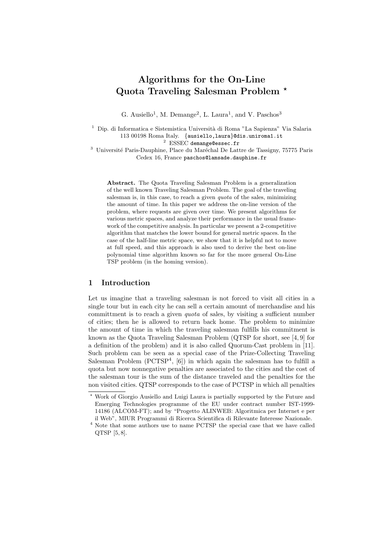# Algorithms for the On-Line Quota Traveling Salesman Problem ?

G. Ausiello<sup>1</sup>, M. Demange<sup>2</sup>, L. Laura<sup>1</sup>, and V. Paschos<sup>3</sup>

<sup>1</sup> Dip. di Informatica e Sistemistica Università di Roma "La Sapienza" Via Salaria 113 00198 Roma Italy. {ausiello,laura}@dis.uniroma1.it <sup>2</sup> ESSEC demange@essec.fr

<sup>3</sup> Université Paris-Dauphine, Place du Maréchal De Lattre de Tassigny, 75775 Paris

Cedex 16, France paschos@lamsade.dauphine.fr

Abstract. The Quota Traveling Salesman Problem is a generalization of the well known Traveling Salesman Problem. The goal of the traveling salesman is, in this case, to reach a given quota of the sales, minimizing the amount of time. In this paper we address the on-line version of the problem, where requests are given over time. We present algorithms for various metric spaces, and analyze their performance in the usual framework of the competitive analysis. In particular we present a 2-competitive algorithm that matches the lower bound for general metric spaces. In the case of the half-line metric space, we show that it is helpful not to move at full speed, and this approach is also used to derive the best on-line polynomial time algorithm known so far for the more general On-Line TSP problem (in the homing version).

# 1 Introduction

Let us imagine that a traveling salesman is not forced to visit all cities in a single tour but in each city he can sell a certain amount of merchandise and his committment is to reach a given *quota* of sales, by visiting a sufficient number of cities; then he is allowed to return back home. The problem to minimize the amount of time in which the traveling salesman fulfills his commitment is known as the Quota Traveling Salesman Problem (QTSP for short, see [4, 9] for a definition of the problem) and it is also called Quorum-Cast problem in [11]. Such problem can be seen as a special case of the Prize-Collecting Traveling Salesman Problem (PCTSP<sup>4</sup>, [6]) in which again the salesman has to fulfill a quota but now nonnegative penalties are associated to the cities and the cost of the salesman tour is the sum of the distance traveled and the penalties for the non visited cities. QTSP corresponds to the case of PCTSP in which all penalties

<sup>?</sup> Work of Giorgio Ausiello and Luigi Laura is partially supported by the Future and Emerging Technologies programme of the EU under contract number IST-1999- 14186 (ALCOM-FT); and by "Progetto ALINWEB: Algoritmica per Internet e per il Web", MIUR Programmi di Ricerca Scientifica di Rilevante Interesse Nazionale.

<sup>4</sup> Note that some authors use to name PCTSP the special case that we have called QTSP [5, 8].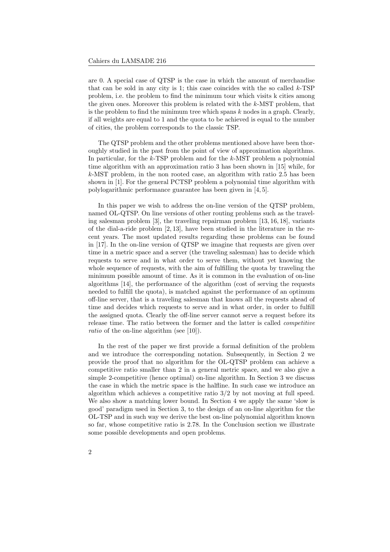are 0. A special case of QTSP is the case in which the amount of merchandise that can be sold in any city is 1; this case coincides with the so called  $k$ -TSP problem, i.e. the problem to find the minimum tour which visits k cities among the given ones. Moreover this problem is related with the k-MST problem, that is the problem to find the minimum tree which spans  $k$  nodes in a graph. Clearly, if all weights are equal to 1 and the quota to be achieved is equal to the number of cities, the problem corresponds to the classic TSP.

The QTSP problem and the other problems mentioned above have been thoroughly studied in the past from the point of view of approximation algorithms. In particular, for the  $k$ -TSP problem and for the  $k$ -MST problem a polynomial time algorithm with an approximation ratio 3 has been shown in [15] while, for k-MST problem, in the non rooted case, an algorithm with ratio 2.5 has been shown in [1]. For the general PCTSP problem a polynomial time algorithm with polylogarithmic performance guarantee has been given in [4, 5].

In this paper we wish to address the on-line version of the QTSP problem, named OL-QTSP. On line versions of other routing problems such as the traveling salesman problem [3], the traveling repairman problem [13, 16, 18], variants of the dial-a-ride problem [2, 13], have been studied in the literature in the recent years. The most updated results regarding these problems can be found in [17]. In the on-line version of QTSP we imagine that requests are given over time in a metric space and a server (the traveling salesman) has to decide which requests to serve and in what order to serve them, without yet knowing the whole sequence of requests, with the aim of fulfilling the quota by traveling the minimum possible amount of time. As it is common in the evaluation of on-line algorithms [14], the performance of the algorithm (cost of serving the requests needed to fulfill the quota), is matched against the performance of an optimum off-line server, that is a traveling salesman that knows all the requests ahead of time and decides which requests to serve and in what order, in order to fulfill the assigned quota. Clearly the off-line server cannot serve a request before its release time. The ratio between the former and the latter is called competitive ratio of the on-line algorithm (see [10]).

In the rest of the paper we first provide a formal definition of the problem and we introduce the corresponding notation. Subsequently, in Section 2 we provide the proof that no algorithm for the OL-QTSP problem can achieve a competitive ratio smaller than 2 in a general metric space, and we also give a simple 2-competitive (hence optimal) on-line algorithm. In Section 3 we discuss the case in which the metric space is the halfline. In such case we introduce an algorithm which achieves a competitive ratio 3/2 by not moving at full speed. We also show a matching lower bound. In Section 4 we apply the same 'slow is good' paradigm used in Section 3, to the design of an on-line algorithm for the OL-TSP and in such way we derive the best on-line polynomial algorithm known so far, whose competitive ratio is 2.78. In the Conclusion section we illustrate some possible developments and open problems.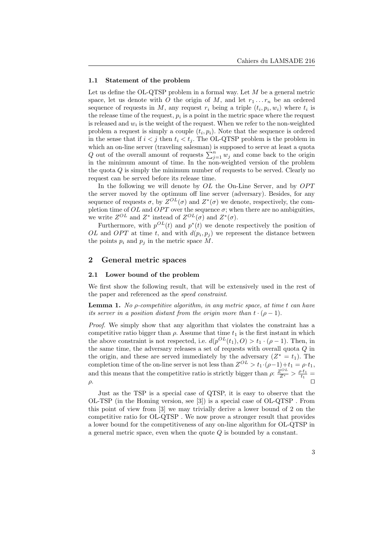### 1.1 Statement of the problem

Let us define the OL-QTSP problem in a formal way. Let  $M$  be a general metric space, let us denote with O the origin of M, and let  $r_1 \ldots r_n$  be an ordered sequence of requests in M, any request  $r_i$  being a triple  $(t_i, p_i, w_i)$  where  $t_i$  is the release time of the request,  $p_i$  is a point in the metric space where the request is released and  $w_i$  is the weight of the request. When we refer to the non-weighted problem a request is simply a couple  $(t_i, p_i)$ . Note that the sequence is ordered in the sense that if  $i < j$  then  $t_i < t_j$ . The OL-QTSP problem is the problem in which an on-line server (traveling salesman) is supposed to serve at least a quota Q out of the overall amount of requests  $\sum_{j=1}^{n} w_j$  and come back to the origin in the minimum amount of time. In the non-weighted version of the problem the quota  $Q$  is simply the minimum number of requests to be served. Clearly no request can be served before its release time.

In the following we will denote by  $OL$  the On-Line Server, and by  $OPT$ the server moved by the optimum off line server (adversary). Besides, for any sequence of requests  $\sigma$ , by  $Z^{OL}(\sigma)$  and  $Z^*(\sigma)$  we denote, respectively, the completion time of  $OL$  and  $OPT$  over the sequence  $\sigma$ ; when there are no ambiguities, we write  $Z^{OL}$  and  $Z^*$  instead of  $Z^{OL}(\sigma)$  and  $Z^*(\sigma)$ .

Furthermore, with  $p^{OL}(t)$  and  $p^*(t)$  we denote respectively the position of OL and OPT at time t, and with  $d(p_i, p_j)$  we represent the distance between the points  $p_i$  and  $p_j$  in the metric space M.

## 2 General metric spaces

## 2.1 Lower bound of the problem

We first show the following result, that will be extensively used in the rest of the paper and referenced as the speed constraint.

**Lemma 1.** No  $\rho$ -competitive algorithm, in any metric space, at time  $t$  can have its server in a position distant from the origin more than  $t \cdot (\rho - 1)$ .

Proof. We simply show that any algorithm that violates the constraint has a competitive ratio bigger than  $\rho$ . Assume that time  $t_1$  is the first instant in which the above constraint is not respected, i.e.  $d(p^{OL}(t_1), O) > t_1 \cdot (\rho - 1)$ . Then, in the same time, the adversary releases a set of requests with overall quota Q in the origin, and these are served immediately by the adversary  $(Z^* = t_1)$ . The completion time of the on-line server is not less than  $Z^{OL} > t_1 \cdot (\rho - 1) + t_1 = \rho \cdot t_1$ , and this means that the competitive ratio is strictly bigger than  $\rho: \frac{Z^{OL}}{Z^*} > \frac{\rho \cdot t_1}{t_1}$  $\rho$ .

Just as the TSP is a special case of QTSP, it is easy to observe that the OL-TSP (in the Homing version, see [3]) is a special case of OL-QTSP . From this point of view from [3] we may trivially derive a lower bound of 2 on the competitive ratio for OL-QTSP . We now prove a stronger result that provides a lower bound for the competitiveness of any on-line algorithm for OL-QTSP in a general metric space, even when the quote Q is bounded by a constant.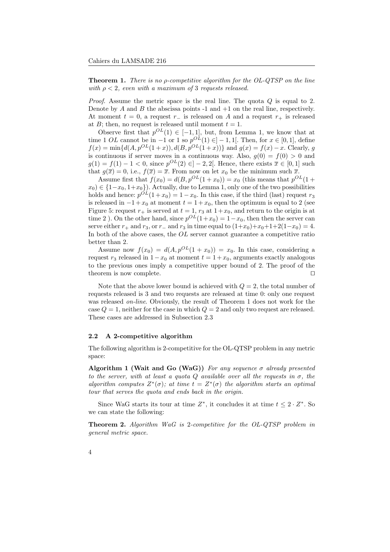**Theorem 1.** There is no *p*-competitive algorithm for the  $OL-QTSP$  on the line with  $\rho < 2$ , even with a maximum of 3 requests released.

*Proof.* Assume the metric space is the real line. The quota  $Q$  is equal to 2. Denote by  $A$  and  $B$  the abscissa points -1 and  $+1$  on the real line, respectively. At moment  $t = 0$ , a request  $r_-\,$  is released on A and a request  $r_+\,$  is released at B; then, no request is released until moment  $t = 1$ .

Observe first that  $p^{OL}(1) \in [-1,1]$ , but, from Lemma 1, we know that at time 1 OL cannot be in  $-1$  or 1 so  $p^{OL}(1) \in ]-1,1[$ . Then, for  $x \in [0,1]$ , define  $f(x) = \min\{d(A, p^{OL}(1+x)), d(B, p^{OL}(1+x))\}$  and  $g(x) = f(x) - x$ . Clearly, g is continuous if server moves in a continuous way. Also,  $q(0) = f(0) > 0$  and  $g(1) = f(1) - 1 < 0$ , since  $p^{OL}(2) \in ]-2,2[$ . Hence, there exists  $\overline{x} \in [0,1]$  such that  $g(\overline{x}) = 0$ , i.e.,  $f(\overline{x}) = \overline{x}$ . From now on let  $x_0$  be the minimum such  $\overline{x}$ .

Assume first that  $f(x_0) = d(B, p^{OL}(1+x_0)) = x_0$  (this means that  $p^{OL}(1+x_0)$ )  $(x_0) \in \{1-x_0, 1+x_0\}$ . Actually, due to Lemma 1, only one of the two possibilities holds and hence:  $p^{OL}(1+x_0) = 1-x_0$ . In this case, if the third (last) request  $r_3$ is released in  $-1+x_0$  at moment  $t = 1+x_0$ , then the optimum is equal to 2 (see Figure 5: request  $r_+$  is served at  $t = 1, r_3$  at  $1 + x_0$ , and return to the origin is at time 2). On the other hand, since  $p^{OL}(1+x_0) = 1-x_0$ , then then the server can serve either  $r_{+}$  and  $r_{3}$ , or  $r_{-}$  and  $r_{3}$  in time equal to  $(1+x_{0})+x_{0}+1+2(1-x_{0})=4$ . In both of the above cases, the  $OL$  server cannot guarantee a competitive ratio better than 2.

Assume now  $f(x_0) = d(A, p^{OL}(1 + x_0)) = x_0$ . In this case, considering a request  $r_3$  released in  $1-x_0$  at moment  $t = 1+x_0$ , arguments exactly analogous to the previous ones imply a competitive upper bound of 2. The proof of the theorem is now complete.  $\Box$ 

Note that the above lower bound is achieved with  $Q = 2$ , the total number of requests released is 3 and two requests are released at time 0: only one request was released on-line. Obviously, the result of Theorem 1 does not work for the case  $Q = 1$ , neither for the case in which  $Q = 2$  and only two request are released. These cases are addressed in Subsection 2.3

## 2.2 A 2-competitive algorithm

The following algorithm is 2-competitive for the OL-QTSP problem in any metric space:

Algorithm 1 (Wait and Go (WaG)) For any sequence  $\sigma$  already presented to the server, with at least a quota  $Q$  available over all the requests in  $\sigma$ , the algorithm computes  $Z^*(\sigma)$ ; at time  $t = Z^*(\sigma)$  the algorithm starts an optimal tour that serves the quota and ends back in the origin.

Since WaG starts its tour at time  $Z^*$ , it concludes it at time  $t \leq 2 \cdot Z^*$ . So we can state the following:

Theorem 2. Algorithm WaG is 2-competitive for the OL-QTSP problem in general metric space.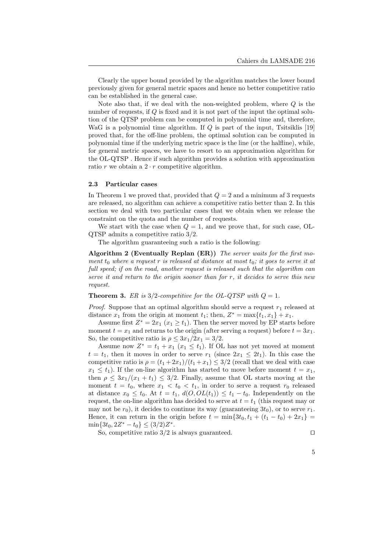Clearly the upper bound provided by the algorithm matches the lower bound previously given for general metric spaces and hence no better competitive ratio can be established in the general case.

Note also that, if we deal with the non-weighted problem, where  $Q$  is the number of requests, if Q is fixed and it is not part of the input the optimal solution of the QTSP problem can be computed in polynomial time and, therefore, WaG is a polynomial time algorithm. If  $Q$  is part of the input, Tsitsiklis [19] proved that, for the off-line problem, the optimal solution can be computed in polynomial time if the underlying metric space is the line (or the halfline), while, for general metric spaces, we have to resort to an approximation algorithm for the OL-QTSP . Hence if such algorithm provides a solution with approximation ratio r we obtain a  $2 \cdot r$  competitive algorithm.

### 2.3 Particular cases

In Theorem 1 we proved that, provided that  $Q = 2$  and a minimum af 3 requests are released, no algorithm can achieve a competitive ratio better than 2. In this section we deal with two particular cases that we obtain when we release the constraint on the quota and the number of requests.

We start with the case when  $Q = 1$ , and we prove that, for such case, OL-QTSP admits a competitive ratio 3/2.

The algorithm guaranteeing such a ratio is the following:

Algorithm 2 (Eventually Replan (ER)) The server waits for the first moment  $t_0$  where a request r is released at distance at most  $t_0$ ; it goes to serve it at full speed; if on the road, another request is released such that the algorithm can serve it and return to the origin sooner than for  $r$ , it decides to serve this new request.

**Theorem 3.** ER is  $3/2$ -competitive for the OL-QTSP with  $Q = 1$ .

*Proof.* Suppose that an optimal algorithm should serve a request  $r_1$  released at distance  $x_1$  from the origin at moment  $t_1$ ; then,  $Z^* = \max\{t_1, x_1\} + x_1$ .

Assume first  $Z^* = 2x_1$   $(x_1 \ge t_1)$ . Then the server moved by EP starts before moment  $t = x_1$  and returns to the origin (after serving a request) before  $t = 3x_1$ . So, the competitive ratio is  $\rho \leq 3x_1/2x_1 = 3/2$ .

Assume now  $Z^* = t_1 + x_1$   $(x_1 \le t_1)$ . If OL has not yet moved at moment  $t = t_1$ , then it moves in order to serve  $r_1$  (since  $2x_1 \leq 2t_1$ ). In this case the competitive ratio is  $\rho = (t_1 + 2x_1)/(t_1 + x_1) \leq 3/2$  (recall that we deal with case  $x_1 \leq t_1$ ). If the on-line algorithm has started to move before moment  $t = x_1$ , then  $\rho \leq 3x_1/(x_1 + t_1) \leq 3/2$ . Finally, assume that OL starts moving at the moment  $t = t_0$ , where  $x_1 < t_0 < t_1$ , in order to serve a request  $r_0$  released at distance  $x_0 \leq t_0$ . At  $t = t_1$ ,  $d(O, OL(t_1)) \leq t_1 - t_0$ . Independently on the request, the on-line algorithm has decided to serve at  $t = t_1$  (this request may or may not be  $r_0$ , it decides to continue its way (guaranteeing  $3t_0$ ), or to serve  $r_1$ . Hence, it can return in the origin before  $t = \min\{3t_0, t_1 + (t_1 - t_0) + 2x_1\}$  $\min\{3t_0, 2Z^* - t_0\} \leq (3/2)Z^*.$ 

So, competitive ratio  $3/2$  is always guaranteed.

$$
\Box
$$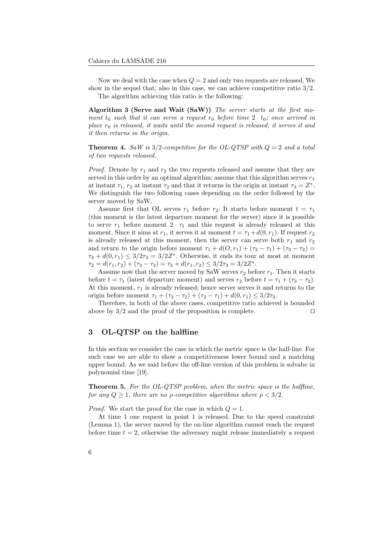Now we deal with the case when  $Q = 2$  and only two requests are released. We show in the sequel that, also in this case, we can achieve competitive ratio 3/2. The algorithm achieving this ratio is the following:

Algorithm 3 (Serve and Wait (SaW)) The server starts at the first moment  $t_0$  such that it can serve a request  $r_0$  before time  $2 \cdot t_0$ ; once arrived in place  $r_0$  is released, it waits until the second request is released; it serves it and it then returns in the origin.

**Theorem 4.** SaW is  $3/2$ -competitive for the OL-QTSP with  $Q = 2$  and a total of two requests released.

*Proof.* Denote by  $r_1$  and  $r_2$  the two requests released and assume that they are served in this order by an optimal algorithm; assume that this algorithm serves  $r_1$ at instant  $\tau_1$ ,  $r_2$  at instant  $\tau_2$  and that it returns in the origin at instant  $\tau_3 = Z^*$ . We distinguish the two following cases depending on the order followed by the server moved by SaW.

Assume first that OL serves  $r_1$  before  $r_2$ . It starts before moment  $t = \tau_1$ (this moment is the latest departure moment for the server) since it is possible to serve  $r_1$  before moment  $2 \cdot \tau_1$  and this request is already released at this moment. Since it aims at  $r_1$ , it serves it at moment  $t = \tau_1 + d(0, r_1)$ . If request  $r_2$ is already released at this moment, then the server can serve both  $r_1$  and  $r_2$ and return to the origin before moment  $\tau_1 + d(O, r_1) + (\tau_2 - \tau_1) + (\tau_3 - \tau_2) =$  $\tau_3 + d(0, r_1) \leq 3/2\tau_3 = 3/2Z^*$ . Otherwise, it ends its tour at most at moment  $\tau_2 = d(r_1, r_2) + (\tau_3 - \tau_2) = \tau_3 + d(r_1, r_2) \leq 3/2\tau_3 = 3/2Z^*$ .

Assume now that the server moved by SaW serves  $r_2$  before  $r_1$ . Then it starts before  $t = \tau_1$  (latest departure moment) and serves  $r_2$  before  $t = \tau_1 + (\tau_3 - \tau_2)$ . At this moment,  $r_1$  is already released; hence server serves it and returns to the origin before moment  $\tau_1 + (\tau_3 - \tau_2) + (\tau_2 - \tau_1) + d(0, r_1) \leq 3/2\tau_3$ .

Therefore, in both of the above cases, competitive ratio achieved is bounded above by  $3/2$  and the proof of the proposition is complete.

# 3 OL-QTSP on the halfline

In this section we consider the case in which the metric space is the half-line. For such case we are able to show a competitiveness lower bound and a matching upper bound. As we said before the off-line version of this problem is solvabe in polynomial time [19].

Theorem 5. For the OL-QTSP problem, when the metric space is the halfline, for any  $Q \geq 1$ , there are no *ρ*-competitive algorithms where  $\rho < 3/2$ .

*Proof.* We start the proof for the case in which  $Q = 1$ .

At time 1 one request in point 1 is released. Due to the speed constraint (Lemma 1), the server moved by the on-line algorithm cannot reach the request before time  $t = 2$ , otherwise the adversary might release immediately a request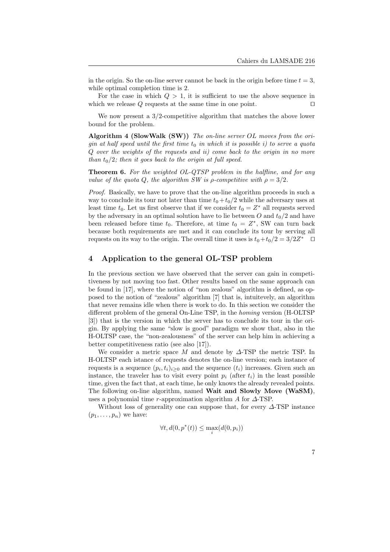in the origin. So the on-line server cannot be back in the origin before time  $t = 3$ , while optimal completion time is 2.

For the case in which  $Q > 1$ , it is sufficient to use the above sequence in which we release  $Q$  requests at the same time in one point.  $\square$ 

We now present a 3/2-competitive algorithm that matches the above lower bound for the problem.

Algorithm 4 (SlowWalk (SW)) The on-line server OL moves from the origin at half speed until the first time  $t_0$  in which it is possible i) to serve a quota Q over the weights of the requests and ii) come back to the origin in no more than  $t_0/2$ ; then it goes back to the origin at full speed.

**Theorem 6.** For the weighted OL-QTSP problem in the halfline, and for any value of the quota Q, the algorithm SW is  $\rho$ -competitive with  $\rho = 3/2$ .

Proof. Basically, we have to prove that the on-line algorithm proceeds in such a way to conclude its tour not later than time  $t_0 + t_0/2$  while the adversary uses at least time  $t_0$ . Let us first observe that if we consider  $t_0 = Z^*$  all requests served by the adversary in an optimal solution have to lie between  $O$  and  $t_0/2$  and have been released before time  $t_0$ . Therefore, at time  $t_0 = Z^*$ , SW can turn back because both requirements are met and it can conclude its tour by serving all requests on its way to the origin. The overall time it uses is  $t_0+t_0/2=3/2Z^*$ 

## 4 Application to the general OL-TSP problem

In the previous section we have observed that the server can gain in competitiveness by not moving too fast. Other results based on the same approach can be found in [17], where the notion of "non zealous" algorithm is defined, as opposed to the notion of "zealous" algorithm [7] that is, intuitevely, an algorithm that never remains idle when there is work to do. In this section we consider the different problem of the general On-Line TSP, in the homing version (H-OLTSP [3]) that is the version in which the server has to conclude its tour in the origin. By applying the same "slow is good" paradigm we show that, also in the H-OLTSP case, the "non-zealousness" of the server can help him in achieving a better competitiveness ratio (see also [17]).

We consider a metric space M and denote by  $\Delta$ -TSP the metric TSP. In H-OLTSP each istance of requests denotes the on-line version; each instance of requests is a sequence  $(p_i, t_i)_{i \geq 0}$  and the sequence  $(t_i)$  increases. Given such an instance, the traveler has to visit every point  $p_i$  (after  $t_i$ ) in the least possible time, given the fact that, at each time, he only knows the already revealed points. The following on-line algorithm, named Wait and Slowly Move (WaSM), uses a polynomial time r-approximation algorithm A for  $\Delta$ -TSP.

Without loss of generality one can suppose that, for every  $\Delta$ -TSP instance  $(p_1, \ldots, p_n)$  we have:

$$
\forall t, d(0, p^*(t)) \le \max_i(d(0, p_i))
$$

7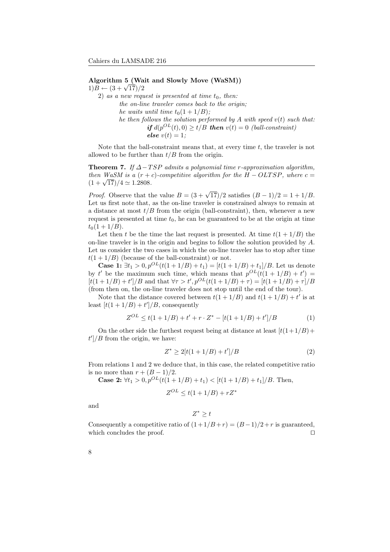Algorithm 5 (Wait and Slowly Move (WaSM))  $1)B - (3 + \sqrt{17})/2$ 

2) as a new request is presented at time  $t_0$ , then: the on-line traveler comes back to the origin; he waits until time  $t_0(1 + 1/B)$ ; he then follows the solution performed by A with speed  $v(t)$  such that: if  $d(p^{OL}(t), 0) \ge t/B$  then  $v(t) = 0$  (ball-constraint) else  $v(t) = 1$ :

Note that the ball-constraint means that, at every time  $t$ , the traveler is not allowed to be further than  $t/B$  from the origin.

**Theorem 7.** If  $\Delta - TSP$  admits a polynomial time r-approximation algorithm, then WaSM is a  $(r + c)$ -competitive algorithm for the  $H - OLTSP$ , where  $c =$  $\frac{(1+\sqrt{17})}{4} \approx 1.2808.$ 

*Proof.* Observe that the value  $B = (3 + \sqrt{17})/2$  satisfies  $(B - 1)/2 = 1 + 1/B$ . Let us first note that, as the on-line traveler is constrained always to remain at a distance at most  $t/B$  from the origin (ball-constraint), then, whenever a new request is presented at time  $t_0$ , he can be guaranteed to be at the origin at time  $t_0(1+1/B)$ .

Let then t be the time the last request is presented. At time  $t(1+1/B)$  the on-line traveler is in the origin and begins to follow the solution provided by A. Let us consider the two cases in which the on-line traveler has to stop after time  $t(1+1/B)$  (because of the ball-constraint) or not.

**Case 1:** ∃ $t_1 > 0, p^{OL}(t(1+1/B) + t_1) = [t(1+1/B) + t_1]/B$ . Let us denote by t' be the maximum such time, which means that  $p^{OL}(t(1+1/B) + t') =$  $[t(1+1/B) + t']/B$  and that  $\forall \tau > t', p^{OL}(t(1+1/B) + \tau) = [t(1+1/B) + \tau]/B$ (from then on, the on-line traveler does not stop until the end of the tour).

Note that the distance covered between  $t(1+1/B)$  and  $t(1+1/B) + t'$  is at least  $[t(1+1/B)+t']/B$ , consequently

$$
Z^{OL} \le t(1+1/B) + t' + r \cdot Z^* - [t(1+1/B) + t']/B \tag{1}
$$

On the other side the furthest request being at distance at least  $[t(1+1/B)+$  $t'/B$  from the origin, we have:

$$
Z^* \ge 2[t(1+1/B) + t']/B
$$
 (2)

From relations 1 and 2 we deduce that, in this case, the related competitive ratio is no more than  $r + (B - 1)/2$ .

**Case 2:**  $\forall t_1 > 0, p^{OL}(t(1 + 1/B) + t_1) < [t(1 + 1/B) + t_1]/B$ . Then,

$$
Z^{OL} \le t(1+1/B) + rZ^*
$$

and

# $Z^* \geq t$

Consequently a competitive ratio of  $(1+1/B+r) = (B-1)/2+r$  is guaranteed, which concludes the proof. which concludes the proof.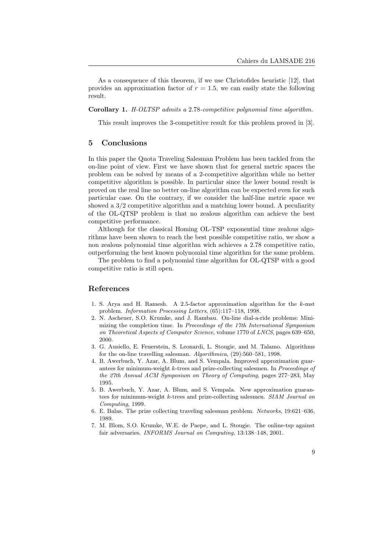As a consequence of this theorem, if we use Christofides heuristic [12], that provides an approximation factor of  $r = 1.5$ , we can easily state the following result.

#### Corollary 1. H-OLTSP admits a 2.78-competitive polynomial time algorithm.

This result improves the 3-competitive result for this problem proved in [3].

## 5 Conclusions

In this paper the Quota Traveling Salesman Problem has been tackled from the on-line point of view. First we have shown that for general metric spaces the problem can be solved by means of a 2-competitive algorithm while no better competitive algorithm is possible. In particular since the lower bound result is proved on the real line no better on-line algorithm can be expected even for such particular case. On the contrary, if we consider the half-line metric space we showed a 3/2 competitive algorithm and a matching lower bound. A peculiarity of the OL-QTSP problem is that no zealous algorithm can achieve the best competitive performance.

Although for the classical Homing OL-TSP exponential time zealous algorithms have been shown to reach the best possible competitive ratio, we show a non zealous polynomial time algorithm wich achieves a 2.78 competitive ratio, outperforming the best known polynomial time algorithm for the same problem.

The problem to find a polynomial time algorithm for OL-QTSP with a good competitive ratio is still open.

## References

- 1. S. Arya and H. Ramesh. A 2.5-factor approximation algorithm for the k-mst problem. Information Processing Letters, (65):117–118, 1998.
- 2. N. Ascheuer, S.O. Krumke, and J. Rambau. On-line dial-a-ride problems: Minimizing the completion time. In Proceedings of the 17th International Symposium on Theoretical Aspects of Computer Science, volume 1770 of LNCS, pages 639–650, 2000.
- 3. G. Ausiello, E. Feuerstein, S. Leonardi, L. Stougie, and M. Talamo. Algorithms for the on-line travelling salesman. Algorithmica, (29):560–581, 1998.
- 4. B. Awerbuch, Y. Azar, A. Blum, and S. Vempala. Improved approximation guarantees for minimum-weight k-trees and prize-collecting salesmen. In Proceedings of the 27th Annual ACM Symposium on Theory of Computing, pages 277–283, May 1995.
- 5. B. Awerbuch, Y. Azar, A. Blum, and S. Vempala. New approximation guarantees for minimum-weight k-trees and prize-collecting salesmen. SIAM Journal on Computing, 1999.
- 6. E. Balas. The prize collecting traveling salesman problem. Networks, 19:621–636, 1989.
- 7. M. Blom, S.O. Krumke, W.E. de Paepe, and L. Stougie. The online-tsp against fair adversaries. INFORMS Journal on Computing, 13:138–148, 2001.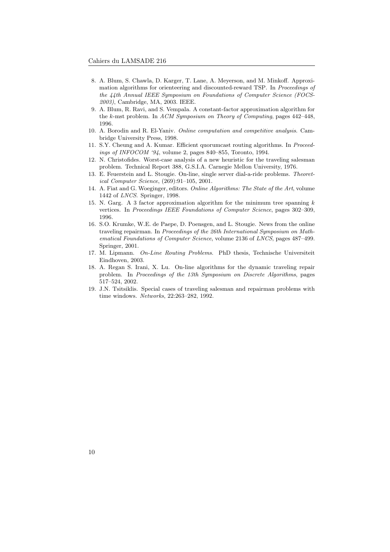- 8. A. Blum, S. Chawla, D. Karger, T. Lane, A. Meyerson, and M. Minkoff. Approximation algorithms for orienteering and discounted-reward TSP. In Proceedings of the 44th Annual IEEE Symposium on Foundations of Computer Science (FOCS-2003), Cambridge, MA, 2003. IEEE.
- 9. A. Blum, R. Ravi, and S. Vempala. A constant-factor approximation algorithm for the k-mst problem. In ACM Symposium on Theory of Computing, pages 442–448, 1996.
- 10. A. Borodin and R. El-Yaniv. Online computation and competitive analysis. Cambridge University Press, 1998.
- 11. S.Y. Cheung and A. Kumar. Efficient quorumcast routing algorithms. In Proceedings of INFOCOM '94, volume 2, pages 840–855, Toronto, 1994.
- 12. N. Christofides. Worst-case analysis of a new heuristic for the traveling salesman problem. Technical Report 388, G.S.I.A. Carnegie Mellon University, 1976.
- 13. E. Feuerstein and L. Stougie. On-line, single server dial-a-ride problems. Theoretical Computer Science, (269):91–105, 2001.
- 14. A. Fiat and G. Woeginger, editors. Online Algorithms: The State of the Art, volume 1442 of LNCS. Springer, 1998.
- 15. N. Garg. A 3 factor approximation algorithm for the minimum tree spanning  $k$ vertices. In Proceedings IEEE Foundations of Computer Science, pages 302–309, 1996.
- 16. S.O. Krumke, W.E. de Paepe, D. Poensgen, and L. Stougie. News from the online traveling repairman. In Proceedings of the 26th International Symposium on Mathematical Foundations of Computer Science, volume 2136 of LNCS, pages 487–499. Springer, 2001.
- 17. M. Lipmann. On-Line Routing Problems. PhD thesis, Technische Universiteit Eindhoven, 2003.
- 18. A. Regan S. Irani, X. Lu. On-line algorithms for the dynamic traveling repair problem. In Proceedings of the 13th Symposium on Discrete Algorithms, pages 517–524, 2002.
- 19. J.N. Tsitsiklis. Special cases of traveling salesman and repairman problems with time windows. Networks, 22:263–282, 1992.